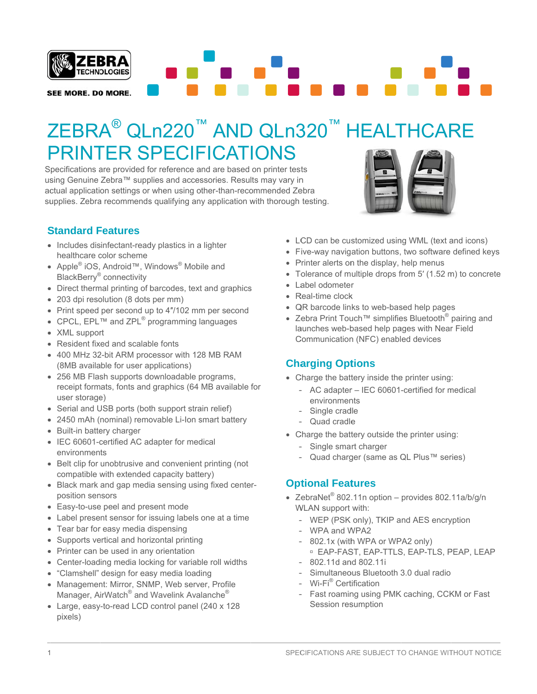

# ZEBRA® QLn220™ AND QLn320™ HEALTHCARE **PRINTER SPECIFICATIONS**

Specifications are provided for reference and are based on printer tests using Genuine Zebra™ supplies and accessories. Results may vary in actual application settings or when using other-than-recommended Zebra supplies. Zebra recommends qualifying any application with thorough testing.



#### **Standard Features**

- Includes disinfectant-ready plastics in a lighter healthcare color scheme
- Apple<sup>®</sup> iOS, Android<sup>™</sup>, Windows<sup>®</sup> Mobile and BlackBerry<sup>®</sup> connectivity
- Direct thermal printing of barcodes, text and graphics
- 203 dpi resolution (8 dots per mm)
- Print speed per second up to 4"/102 mm per second
- CPCL, EPL<sup>TM</sup> and ZPL<sup>®</sup> programming languages
- XML support
- Resident fixed and scalable fonts
- 400 MHz 32-bit ARM processor with 128 MB RAM (8MB available for user applications)
- 256 MB Flash supports downloadable programs, receipt formats, fonts and graphics (64 MB available for user storage)
- Serial and USB ports (both support strain relief)
- 2450 mAh (nominal) removable Li-lon smart battery
- Built-in battery charger
- IEC 60601-certified AC adapter for medical environments
- Belt clip for unobtrusive and convenient printing (not compatible with extended capacity battery)
- Black mark and gap media sensing using fixed centerposition sensors
- Easy-to-use peel and present mode
- Label present sensor for issuing labels one at a time
- Tear bar for easy media dispensing
- Supports vertical and horizontal printing
- Printer can be used in any orientation
- Center-loading media locking for variable roll widths
- "Clamshell" design for easy media loading
- Management: Mirror, SNMP, Web server, Profile Manager, AirWatch<sup>®</sup> and Wavelink Avalanche<sup>®</sup>
- Large, easy-to-read LCD control panel (240 x 128) pixels)
- LCD can be customized using WML (text and icons)
- Five-way navigation buttons, two software defined keys
- Printer alerts on the display, help menus
- Tolerance of multiple drops from 5' (1.52 m) to concrete
- Label odometer
- Real-time clock
- QR barcode links to web-based help pages
- Zebra Print Touch™ simplifies Bluetooth<sup>®</sup> pairing and launches web-based help pages with Near Field Communication (NFC) enabled devices

#### **Charging Options**

- Charge the battery inside the printer using:
	- AC adapter IEC 60601-certified for medical environments
	- Single cradle
	- Quad cradle
- Charge the battery outside the printer using:
	- $\overline{a}$ Single smart charger
	- Quad charger (same as QL Plus™ series)

#### **Optional Features**

- ZebraNet® 802.11n option provides 802.11a/b/g/n WLAN support with:
	- WEP (PSK only), TKIP and AES encryption
	- WPA and WPA2
	- 802.1x (with WPA or WPA2 only)
		- <sup>D</sup> EAP-FAST, EAP-TTLS, EAP-TLS, PEAP, LEAP 802.11d and 802.11i
	- Simultaneous Bluetooth 3.0 dual radio
	- Wi-Fi® Certification
	- Fast roaming using PMK caching, CCKM or Fast Session resumption

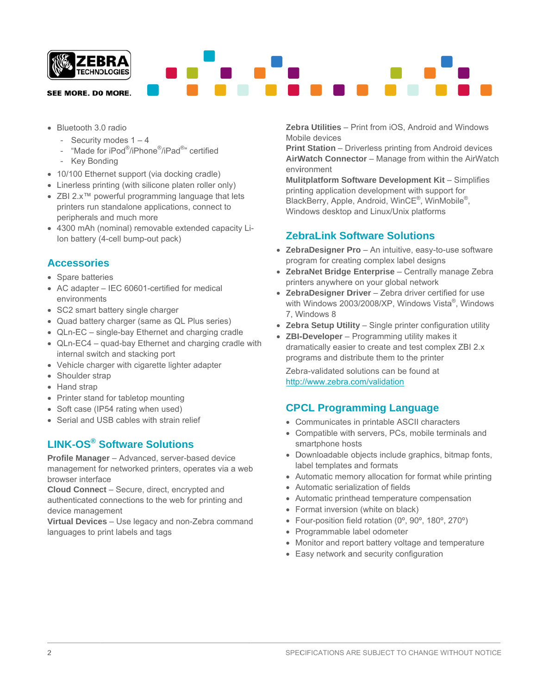

- Bluetooth 3.0 radio
	- Security modes  $1 4$
	- "Made for iPod®/iPhone®/iPad®" certified
	- Key Bonding
- 10/100 Ethernet support (via docking cradle)
- Linerless printing (with silicone platen roller only)
- ZBI 2.x<sup>TM</sup> powerful programming language that lets printers run standalone applications, connect to peripherals and much more
- 4300 mAh (nominal) removable extended capacity Li-Ion battery (4-cell bump-out pack)

#### **Accessories**

- Spare batteries
- AC adapter IEC 60601-certified for medical environments
- SC2 smart battery single charger
- Quad battery charger (same as QL Plus series)
- QLn-EC single-bay Ethernet and charging cradle
- QLn-EC4 quad-bay Ethernet and charging cradle with internal switch and stacking port
- Vehicle charger with cigarette lighter adapter
- Shoulder strap
- Hand strap
- Printer stand for tabletop mounting
- Soft case (IP54 rating when used)
- Serial and USB cables with strain relief

## **LINK-OS®** Software Solutions

Profile Manager - Advanced, server-based device management for networked printers, operates via a web browser interface

Cloud Connect - Secure, direct, encrypted and authenticated connections to the web for printing and device management

Virtual Devices - Use legacy and non-Zebra command languages to print labels and tags

Zebra Utilities - Print from iOS. Android and Windows Mobile devices

**Print Station** – Driverless printing from Android devices AirWatch Connector - Manage from within the AirWatch environment

Mulitplatform Software Development Kit - Simplifies printing application development with support for BlackBerry, Apple, Android, WinCE®, WinMobile®, Windows desktop and Linux/Unix platforms

#### **ZebraLink Software Solutions**

- ZebraDesigner Pro An intuitive, easy-to-use software program for creating complex label designs
- ZebraNet Bridge Enterprise Centrally manage Zebra printers anywhere on your global network
- ZebraDesigner Driver Zebra driver certified for use with Windows 2003/2008/XP, Windows Vista®, Windows 7, Windows 8
- Zebra Setup Utility Single printer configuration utility
- ZBI-Developer Programming utility makes it dramatically easier to create and test complex ZBI 2.x programs and distribute them to the printer

Zebra-validated solutions can be found at http://www.zebra.com/validation

#### **CPCL Programming Language**

- Communicates in printable ASCII characters
- Compatible with servers, PCs, mobile terminals and smartphone hosts
- Downloadable objects include graphics, bitmap fonts, label templates and formats
- Automatic memory allocation for format while printing
- Automatic serialization of fields
- Automatic printhead temperature compensation
- Format inversion (white on black)
- Four-position field rotation (0°, 90°, 180°, 270°)
- Programmable label odometer
- Monitor and report battery voltage and temperature
- Easy network and security configuration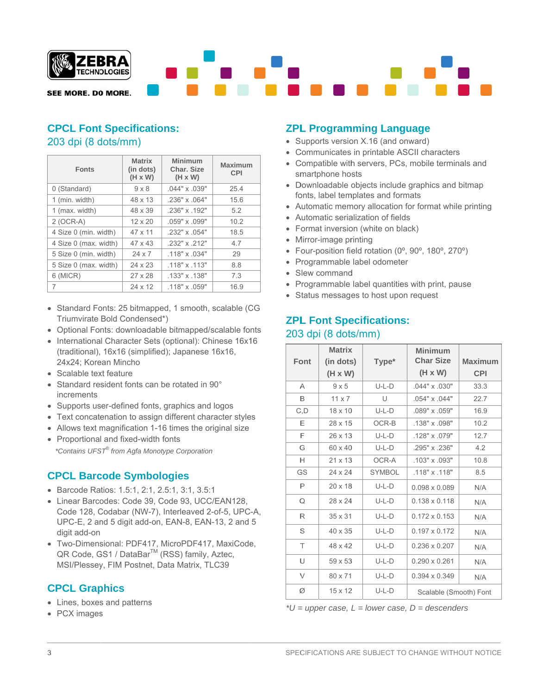

#### **CPCL Font Specifications:** 203 dpi (8 dots/mm)

| <b>Fonts</b>          | <b>Matrix</b><br>(in dots)<br>$(H \times W)$ | Minimum<br>Char. Size<br>$(H \times W)$ | <b>Maximum</b><br><b>CPI</b> |
|-----------------------|----------------------------------------------|-----------------------------------------|------------------------------|
| 0 (Standard)          | $9 \times 8$                                 | $.044" \times .039"$                    | 25.4                         |
| 1 (min. width)        | 48 x 13                                      | $.236" \times .064"$                    | 15.6                         |
| 1 (max. width)        | 48 x 39                                      | .236" x .192"                           | 5.2                          |
| $2 (OCR-A)$           | $12 \times 20$                               | .059" x .099"                           | 10.2                         |
| 4 Size 0 (min. width) | 47 x 11                                      | .232" x .054"                           | 18.5                         |
| 4 Size 0 (max. width) | $47 \times 43$                               | .232" x .212"                           | 4.7                          |
| 5 Size 0 (min. width) | $24 \times 7$                                | .118" x .034"                           | 29                           |
| 5 Size 0 (max. width) | 24 x 23                                      | $.118" \times .113"$                    | 8.8                          |
| $6$ (MICR)            | 27 x 28                                      | $.133" \times .138"$                    | 7.3                          |
| 7                     | 24 x 12                                      | $.118" \times .059"$                    | 16.9                         |

- Standard Fonts: 25 bitmapped, 1 smooth, scalable (CG Triumvirate Bold Condensed\*)
- Optional Fonts: downloadable bitmapped/scalable fonts
- International Character Sets (optional): Chinese 16x16 (traditional), 16x16 (simplified); Japanese 16x16, 24x24; Korean Mincho
- Scalable text feature
- Standard resident fonts can be rotated in 90° increments
- Supports user-defined fonts, graphics and logos
- Text concatenation to assign different character styles
- Allows text magnification 1-16 times the original size
- Proportional and fixed-width fonts \*Contains UFST® from Agfa Monotype Corporation

# **CPCL Barcode Symbologies**

- Barcode Ratios: 1.5:1, 2:1, 2.5:1, 3:1, 3.5:1
- Linear Barcodes: Code 39, Code 93, UCC/EAN128, Code 128, Codabar (NW-7), Interleaved 2-of-5, UPC-A, UPC-E, 2 and 5 digit add-on, EAN-8, EAN-13, 2 and 5 digit add-on
- Two-Dimensional: PDF417, MicroPDF417, MaxiCode, QR Code, GS1 / DataBar™ (RSS) family, Aztec, MSI/Plessey, FIM Postnet, Data Matrix, TLC39

# **CPCL Graphics**

- Lines, boxes and patterns
- PCX images

# **ZPL Programming Language**

- Supports version X.16 (and onward)
- Communicates in printable ASCII characters
- Compatible with servers, PCs, mobile terminals and smartphone hosts
- Downloadable objects include graphics and bitmap fonts, label templates and formats
- Automatic memory allocation for format while printing
- Automatic serialization of fields
- Format inversion (white on black)
- Mirror-image printing
- Four-position field rotation (0°, 90°, 180°, 270°)
- Programmable label odometer
- Slew command
- Programmable label quantities with print, pause
- Status messages to host upon request

## **ZPL Font Specifications:** 203 dpi (8 dots/mm)

| Font         | <b>Matrix</b><br>(in dots) | Type*         | Minimum<br><b>Char Size</b> | Maximum    |
|--------------|----------------------------|---------------|-----------------------------|------------|
|              | $(H \times W)$             |               | $(H \times W)$              | <b>CPI</b> |
| А            | $9 \times 5$               | $U-L-D$       | .044" x .030"               | 33.3       |
| B            | $11 \times 7$              | U             | $.054" \times .044"$        | 22.7       |
| C, D         | $18 \times 10$             | $U-L-D$       | .089" x .059"               | 16.9       |
| Е            | 28 x 15                    | OCR-B         | .138" x .098"               | 10.2       |
| F            | 26 x 13                    | $U-L-D$       | .128" x .079"               | 12.7       |
| G            | 60 x 40                    | $U-L-D$       | .295" x .236"               | 4.2        |
| Н            | $21 \times 13$             | OCR-A         | $.103" \times .093"$        | 10.8       |
| GS           | $24 \times 24$             | <b>SYMBOL</b> | .118" x .118"               | 8.5        |
| P            | $20 \times 18$             | $U-L-D$       | 0.098 x 0.089               | N/A        |
| Q            | 28 x 24                    | $U-L-D$       | $0.138 \times 0.118$        | N/A        |
| $\mathsf{R}$ | $35 \times 31$             | $U-L-D$       | $0.172 \times 0.153$        | N/A        |
| S            | $40 \times 35$             | $U-L-D$       | $0.197 \times 0.172$        | N/A        |
| T            | 48 x 42                    | $U-L-D$       | 0.236 x 0.207               | N/A        |
| U            | 59 x 53                    | $U-L-D$       | $0.290 \times 0.261$        | N/A        |
| $\vee$       | 80 x 71                    | $U-L-D$       | $0.394 \times 0.349$        | N/A        |
| Ø            | $15 \times 12$             | $U-L-D$       | Scalable (Smooth) Font      |            |

\* $U =$ upper case, L = lower case, D = descenders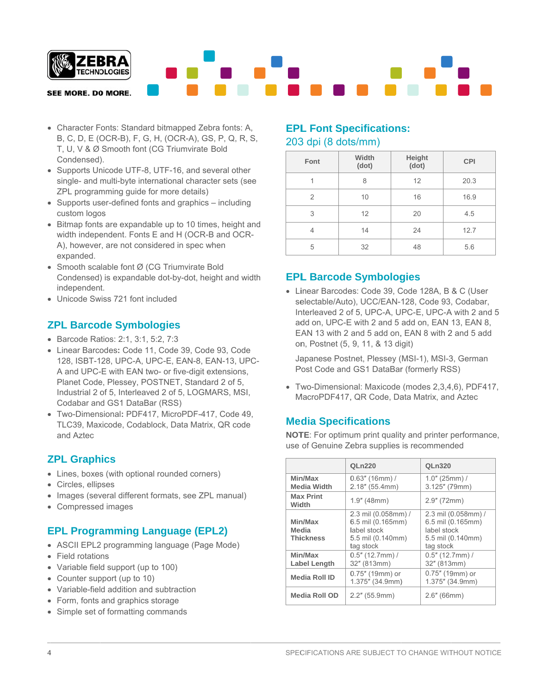

- Character Fonts: Standard bitmapped Zebra fonts: A, B, C, D, E (OCR-B), F, G, H, (OCR-A), GS, P, Q, R, S, T, U, V & Ø Smooth font (CG Triumvirate Bold Condensed).
- Supports Unicode UTF-8, UTF-16, and several other single- and multi-byte international character sets (see ZPL programming guide for more details)
- Supports user-defined fonts and graphics including custom logos
- Bitmap fonts are expandable up to 10 times, height and width independent. Fonts E and H (OCR-B and OCR-A), however, are not considered in spec when expanded.
- Smooth scalable font Ø (CG Triumvirate Bold Condensed) is expandable dot-by-dot, height and width independent.
- Unicode Swiss 721 font included

#### **ZPL Barcode Symbologies**

- Barcode Ratios: 2:1, 3:1, 5:2, 7:3
- Linear Barcodes: Code 11, Code 39, Code 93, Code 128, ISBT-128, UPC-A, UPC-E, EAN-8, EAN-13, UPC-A and UPC-E with EAN two- or five-digit extensions, Planet Code, Plessey, POSTNET, Standard 2 of 5, Industrial 2 of 5, Interleaved 2 of 5, LOGMARS, MSI, Codabar and GS1 DataBar (RSS)
- Two-Dimensional: PDF417, MicroPDF-417, Code 49, TLC39, Maxicode, Codablock, Data Matrix, QR code and Aztec

#### **ZPL Graphics**

- Lines, boxes (with optional rounded corners)
- Circles, ellipses
- Images (several different formats, see ZPL manual)
- Compressed images

## **EPL Programming Language (EPL2)**

- ASCII EPL2 programming language (Page Mode)
- Field rotations
- Variable field support (up to 100)
- Counter support (up to 10)
- Variable-field addition and subtraction
- Form, fonts and graphics storage
- Simple set of formatting commands

#### **EPL Font Specifications:** 203 dpi (8 dots/mm)

| Font | Width<br>(dot) | Height<br>(dot) | <b>CPI</b> |
|------|----------------|-----------------|------------|
|      | 8              | 12              | 20.3       |
| 2    | 10             | 16              | 16.9       |
| 3    | 12             | 20              | 4.5        |
| 4    | 14             | 24              | 12.7       |
| 5    | 32             | 48              | 5.6        |

## **EPL Barcode Symbologies**

• Linear Barcodes: Code 39, Code 128A, B & C (User selectable/Auto), UCC/EAN-128, Code 93, Codabar, Interleaved 2 of 5, UPC-A, UPC-E, UPC-A with 2 and 5 add on, UPC-E with 2 and 5 add on, EAN 13, EAN 8, EAN 13 with 2 and 5 add on, EAN 8 with 2 and 5 add on, Postnet (5, 9, 11, & 13 digit)

Japanese Postnet, Plessey (MSI-1), MSI-3, German Post Code and GS1 DataBar (formerly RSS)

· Two-Dimensional: Maxicode (modes 2,3,4,6), PDF417, MacroPDF417, QR Code, Data Matrix, and Aztec

## **Media Specifications**

NOTE: For optimum print quality and printer performance, use of Genuine Zebra supplies is recommended

|                                      | <b>QLn220</b>                                                                             | QLn320                                                                                    |
|--------------------------------------|-------------------------------------------------------------------------------------------|-------------------------------------------------------------------------------------------|
| Min/Max<br><b>Media Width</b>        | $0.63''$ (16mm) /<br>2.18" (55.4mm)                                                       | $1.0"$ (25mm) /<br>$3.125''$ (79mm)                                                       |
| <b>Max Print</b><br>Width            | $1.9''$ (48mm)                                                                            | $2.9''$ (72mm)                                                                            |
| Min/Max<br>Media<br><b>Thickness</b> | 2.3 mil (0.058mm) /<br>6.5 mil (0.165mm)<br>label stock<br>5.5 mil (0.140mm)<br>tag stock | 2.3 mil (0.058mm) /<br>6.5 mil (0.165mm)<br>label stock<br>5.5 mil (0.140mm)<br>tag stock |
| Min/Max<br><b>Label Length</b>       | $0.5''$ (12.7mm) /<br>32" (813mm)                                                         | $0.5"$ (12.7mm) /<br>32" (813mm)                                                          |
| <b>Media Roll ID</b>                 | 0.75" (19mm) or<br>1.375" (34.9mm)                                                        | 0.75" (19mm) or<br>1.375" (34.9mm)                                                        |
| Media Roll OD                        | $2.2"$ (55.9mm)                                                                           | $2.6"$ (66mm)                                                                             |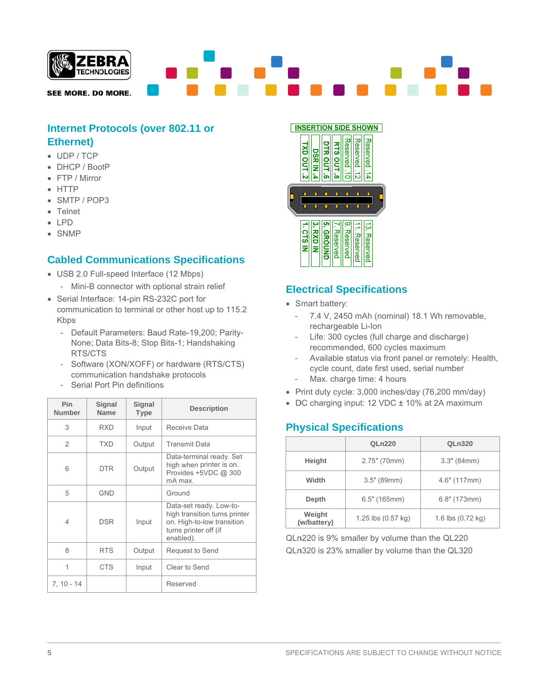

## **Internet Protocols (over 802.11 or Ethernet**)

- UDP/TCP
- DHCP / BootP
- FTP / Mirror
- $\bullet$  HTTP
- SMTP / POP3
- $\bullet$  Telnet
- $\bullet$  LPD
- SNMP

## **Cabled Communications Specifications**

- USB 2.0 Full-speed Interface (12 Mbps)
	- Mini-B connector with optional strain relief
- Serial Interface: 14-pin RS-232C port for communication to terminal or other host up to 115.2 Kbps
	- Default Parameters: Baud Rate-19,200; Parity-None; Data Bits-8; Stop Bits-1; Handshaking RTS/CTS
	- Software (XON/XOFF) or hardware (RTS/CTS) communication handshake protocols
	- Serial Port Pin definitions

| <b>Pin</b><br><b>Number</b> | Signal<br><b>Name</b> | Signal<br><b>Type</b> | <b>Description</b>                                                                                                           |
|-----------------------------|-----------------------|-----------------------|------------------------------------------------------------------------------------------------------------------------------|
| 3                           | RXD                   | Input                 | Receive Data                                                                                                                 |
| 2                           | <b>TXD</b>            | Output                | <b>Transmit Data</b>                                                                                                         |
| 6                           | <b>DTR</b>            | Output                | Data-terminal ready. Set<br>high when printer is on.<br>Provides +5VDC @ 300<br>mA max.                                      |
| 5                           | <b>GND</b>            |                       | Ground                                                                                                                       |
| 4                           | <b>DSR</b>            | Input                 | Data-set ready. Low-to-<br>high transition turns printer<br>on. High-to-low transition<br>turns printer off (if<br>enabled). |
| 8                           | <b>RTS</b>            | Output                | Request to Send                                                                                                              |
| 1                           | <b>CTS</b>            | Input                 | Clear to Send                                                                                                                |
| $7, 10 - 14$                |                       |                       | Reserved                                                                                                                     |



## **Electrical Specifications**

- Smart battery:
	- 7.4 V, 2450 mAh (nominal) 18.1 Wh removable,  $\equiv$ rechargeable Li-Ion
	- Life: 300 cycles (full charge and discharge) recommended, 600 cycles maximum
	- Available status via front panel or remotely: Health, cycle count, date first used, serial number
	- Max. charge time: 4 hours
- Print duty cycle: 3,000 inches/day (76,200 mm/day)
- DC charging input: 12 VDC ± 10% at 2A maximum

## **Physical Specifications**

|                       | <b>QLn220</b>      | QLn320            |
|-----------------------|--------------------|-------------------|
| Height                | 2.75" (70mm)       | $3.3''$ (84mm)    |
| Width                 | $3.5''$ (89mm)     | $4.6''$ (117mm)   |
| Depth                 | $6.5''$ (165mm)    | $6.8''$ (173mm)   |
| Weight<br>(w/battery) | 1.25 lbs (0.57 kg) | 1.6 lbs (0.72 kg) |

QLn220 is 9% smaller by volume than the QL220 QLn320 is 23% smaller by volume than the QL320